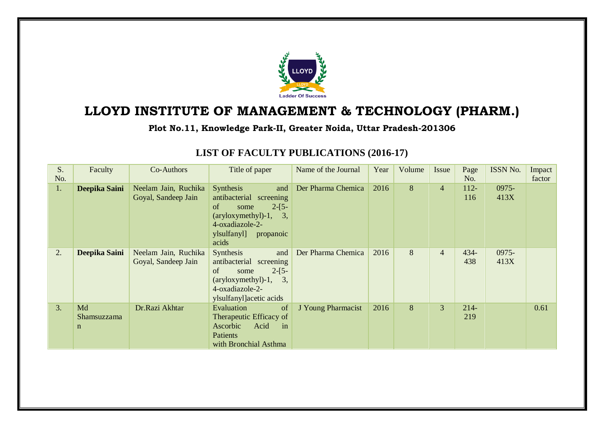

## **LLOYD INSTITUTE OF MANAGEMENT & TECHNOLOGY (PHARM.)**

**Plot No.11, Knowledge Park-II, Greater Noida, Uttar Pradesh-201306**

| S.<br>No. | Faculty                                 | Co-Authors                                  | Title of paper                                                                                                                                                                | Name of the Journal | Year | Volume | Issue          | Page<br>No.    | ISSN No.      | Impact<br>factor |
|-----------|-----------------------------------------|---------------------------------------------|-------------------------------------------------------------------------------------------------------------------------------------------------------------------------------|---------------------|------|--------|----------------|----------------|---------------|------------------|
| 1.        | Deepika Saini                           | Neelam Jain, Ruchika<br>Goyal, Sandeep Jain | <b>Synthesis</b><br>and<br>antibacterial screening<br>of<br>$2-[5-$<br>some<br>$\frac{1}{2}$ (aryloxymethyl)-1,<br>3,<br>4-oxadiazole-2-<br>ylsulfanyl]<br>propanoic<br>acids | Der Pharma Chemica  | 2016 | 8      | $\overline{4}$ | $112 -$<br>116 | 0975-<br>413X |                  |
| 2.        | Deepika Saini                           | Neelam Jain, Ruchika<br>Goyal, Sandeep Jain | Synthesis<br>and<br>antibacterial screening<br>of<br>$2-[5-$<br>some<br>3,<br>$\frac{(\text{aryloxy} + 1)}{1}$<br>4-oxadiazole-2-<br>ylsulfanyl acetic acids                  | Der Pharma Chemica  | 2016 | 8      | $\overline{4}$ | $434 -$<br>438 | 0975-<br>413X |                  |
| 3.        | Md<br><b>Shamsuzzama</b><br>$\mathbf n$ | Dr.Razi Akhtar                              | Evaluation<br><sub>of</sub><br>Therapeutic Efficacy of<br>Ascorbic<br>Acid<br>in<br>Patients<br>with Bronchial Asthma                                                         | J Young Pharmacist  | 2016 | 8      | $\overline{3}$ | $214-$<br>219  |               | 0.61             |

## **LIST OF FACULTY PUBLICATIONS (2016-17)**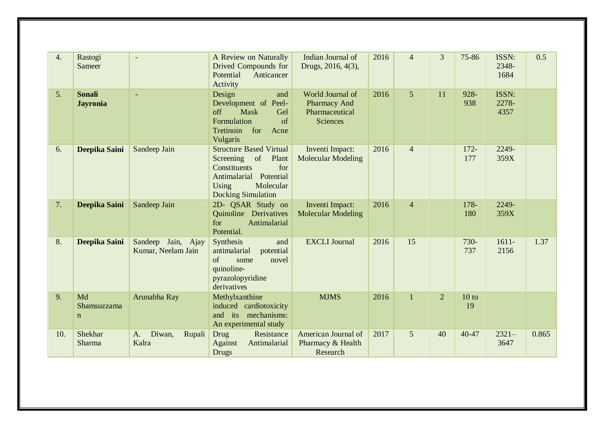| 4.  | Rastogi<br>Sameer                |                                          | A Review on Naturally<br>Drived Compounds for<br>Potential<br>Anticancer<br>Activity                                                                           | Indian Journal of<br>Drugs, 2016, 4(3),                                      | 2016 | $\overline{4}$ | 3              | 75-86          | ISSN:<br>2348-<br>1684 | 0.5   |
|-----|----------------------------------|------------------------------------------|----------------------------------------------------------------------------------------------------------------------------------------------------------------|------------------------------------------------------------------------------|------|----------------|----------------|----------------|------------------------|-------|
| 5.  | <b>Sonali</b><br><b>Jayronia</b> | ٠                                        | Design<br>and<br>Development of Peel-<br>off<br><b>Mask</b><br>Gel<br>Formulation<br>of<br>Tretinoin<br>for<br>Acne<br>Vulgaris                                | World Journal of<br><b>Pharmacy And</b><br>Pharmaceutical<br><b>Sciences</b> | 2016 | 5              | 11             | 928-<br>938    | ISSN:<br>2278-<br>4357 |       |
| 6.  | Deepika Saini                    | Sandeep Jain                             | <b>Structure Based Virtual</b><br>of<br>Plant<br>Screening<br>Constituents<br>for<br>Antimalarial Potential<br>Using<br>Molecular<br><b>Docking Simulation</b> | Inventi Impact:<br><b>Molecular Modeling</b>                                 | 2016 | $\overline{4}$ |                | $172 -$<br>177 | 2249-<br>359X          |       |
| 7.  | Deepika Saini                    | Sandeep Jain                             | 2D- QSAR Study on<br>Quinoline Derivatives<br>for<br>Antimalarial<br>Potential.                                                                                | Inventi Impact:<br><b>Molecular Modeling</b>                                 | 2016 | $\overline{4}$ |                | 178-<br>180    | 2249-<br>359X          |       |
| 8.  | Deepika Saini                    | Sandeep Jain, Ajay<br>Kumar, Neelam Jain | Synthesis<br>and<br>potential<br>antimalarial<br>of<br>some<br>novel<br>quinoline-<br>pyrazolopyridine<br>derivatives                                          | <b>EXCLI</b> Journal                                                         | 2016 | 15             |                | 730-<br>737    | $1611 -$<br>2156       | 1.37  |
| 9.  | Md<br>Shamsuzzama<br>$\mathbf n$ | Arunabha Ray                             | Methylxanthine<br>induced cardiotoxicity<br>and its mechanisms:<br>An experimental study                                                                       | <b>MJMS</b>                                                                  | 2016 | $\mathbf{1}$   | $\overline{2}$ | 10 to<br>19    |                        |       |
| 10. | Shekhar<br>Sharma                | Diwan,<br>Rupali<br>A.<br>Kalra          | Drug<br>Resistance<br>Antimalarial<br>Against<br><b>Drugs</b>                                                                                                  | American Journal of<br>Pharmacy & Health<br>Research                         | 2017 | 5              | 40             | 40-47          | $2321-$<br>3647        | 0.865 |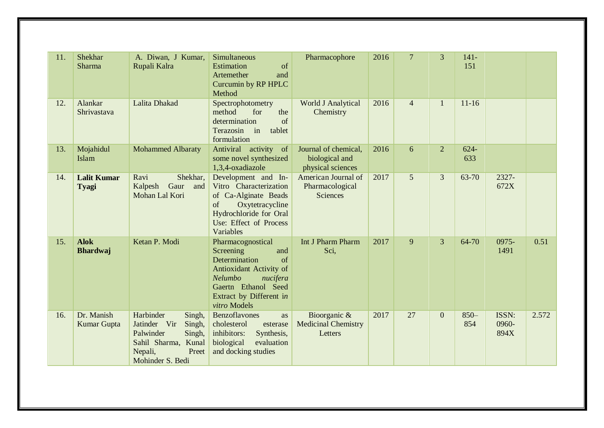| 11. | Shekhar<br>Sharma                  | A. Diwan, J Kumar,<br>Rupali Kalra                                                                                                  | Simultaneous<br>Estimation<br>of<br>Artemether<br>and<br>Curcumin by RP HPLC<br>Method                                                                                           | Pharmacophore                                               | 2016 | $\overline{7}$ | 3        | $141 -$<br>151 |                        |       |
|-----|------------------------------------|-------------------------------------------------------------------------------------------------------------------------------------|----------------------------------------------------------------------------------------------------------------------------------------------------------------------------------|-------------------------------------------------------------|------|----------------|----------|----------------|------------------------|-------|
| 12. | <b>Alankar</b><br>Shrivastava      | Lalita Dhakad                                                                                                                       | Spectrophotometry<br>method<br>for<br>the<br>of<br>determination<br>Terazosin<br>in<br>tablet<br>formulation                                                                     | World J Analytical<br>Chemistry                             | 2016 | $\overline{4}$ | 1        | $11 - 16$      |                        |       |
| 13. | Mojahidul<br>Islam                 | <b>Mohammed Albaraty</b>                                                                                                            | Antiviral activity of<br>some novel synthesized<br>1,3,4-oxadiazole                                                                                                              | Journal of chemical,<br>biological and<br>physical sciences | 2016 | 6              | 2        | $624 -$<br>633 |                        |       |
| 14. | <b>Lalit Kumar</b><br><b>Tyagi</b> | Shekhar,<br>Ravi<br>Gaur<br>Kalpesh<br>and<br>Mohan Lal Kori                                                                        | Development and In-<br>Vitro Characterization<br>of Ca-Alginate Beads<br>of<br>Oxytetracycline<br>Hydrochloride for Oral<br>Use: Effect of Process<br>Variables                  | American Journal of<br>Pharmacological<br><b>Sciences</b>   | 2017 | 5              | 3        | 63-70          | 2327-<br>672X          |       |
| 15. | <b>Alok</b><br><b>Bhardwaj</b>     | Ketan P. Modi                                                                                                                       | Pharmacognostical<br>Screening<br>and<br>of<br>Determination<br>Antioxidant Activity of<br>Nelumbo<br>nucifera<br>Gaertn Ethanol Seed<br>Extract by Different in<br>vitro Models | Int J Pharm Pharm<br>Sci,                                   | 2017 | 9              | 3        | 64-70          | 0975-<br>1491          | 0.51  |
| 16. | Dr. Manish<br>Kumar Gupta          | Harbinder<br>Singh,<br>Jatinder Vir<br>Singh,<br>Palwinder<br>Singh,<br>Sahil Sharma, Kunal<br>Preet<br>Nepali,<br>Mohinder S. Bedi | Benzoflavones<br>as<br>cholesterol<br>esterase<br>inhibitors:<br>Synthesis,<br>biological<br>evaluation<br>and docking studies                                                   | Bioorganic &<br><b>Medicinal Chemistry</b><br>Letters       | 2017 | 27             | $\theta$ | $850 -$<br>854 | ISSN:<br>0960-<br>894X | 2.572 |